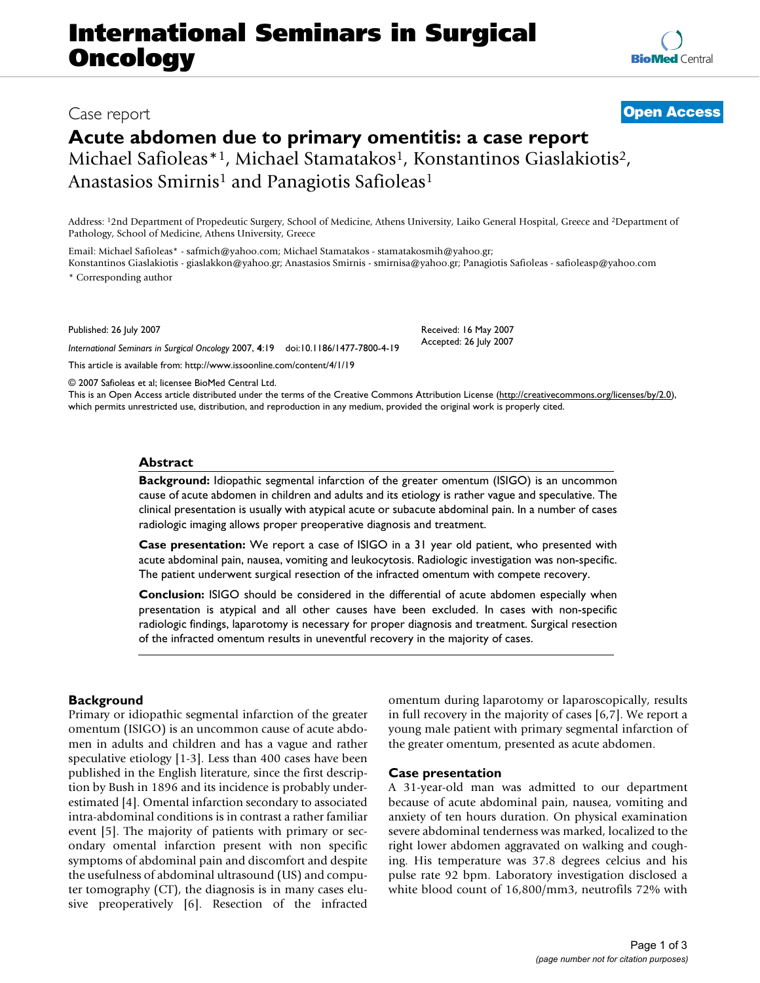# **International Seminars in Surgical Oncology**

# **Acute abdomen due to primary omentitis: a case report**

Michael Safioleas\*<sup>1</sup>, Michael Stamatakos<sup>1</sup>, Konstantinos Giaslakiotis<sup>2</sup>, Anastasios Smirnis<sup>1</sup> and Panagiotis Safioleas<sup>1</sup>

Address: 12nd Department of Propedeutic Surgery, School of Medicine, Athens University, Laiko General Hospital, Greece and 2Department of Pathology, School of Medicine, Athens University, Greece

Email: Michael Safioleas\* - safmich@yahoo.com; Michael Stamatakos - stamatakosmih@yahoo.gr; Konstantinos Giaslakiotis - giaslakkon@yahoo.gr; Anastasios Smirnis - smirnisa@yahoo.gr; Panagiotis Safioleas - safioleasp@yahoo.com

\* Corresponding author

Published: 26 July 2007

*International Seminars in Surgical Oncology* 2007, **4**:19 doi:10.1186/1477-7800-4-19

[This article is available from: http://www.issoonline.com/content/4/1/19](http://www.issoonline.com/content/4/1/19)

© 2007 Safioleas et al; licensee BioMed Central Ltd.

This is an Open Access article distributed under the terms of the Creative Commons Attribution License [\(http://creativecommons.org/licenses/by/2.0\)](http://creativecommons.org/licenses/by/2.0), which permits unrestricted use, distribution, and reproduction in any medium, provided the original work is properly cited.

### **Abstract**

**Background:** Idiopathic segmental infarction of the greater omentum (ISIGO) is an uncommon cause of acute abdomen in children and adults and its etiology is rather vague and speculative. The clinical presentation is usually with atypical acute or subacute abdominal pain. In a number of cases radiologic imaging allows proper preoperative diagnosis and treatment.

**Case presentation:** We report a case of ISIGO in a 31 year old patient, who presented with acute abdominal pain, nausea, vomiting and leukocytosis. Radiologic investigation was non-specific. The patient underwent surgical resection of the infracted omentum with compete recovery.

**Conclusion:** ISIGO should be considered in the differential of acute abdomen especially when presentation is atypical and all other causes have been excluded. In cases with non-specific radiologic findings, laparotomy is necessary for proper diagnosis and treatment. Surgical resection of the infracted omentum results in uneventful recovery in the majority of cases.

# **Background**

Primary or idiopathic segmental infarction of the greater omentum (ISIGO) is an uncommon cause of acute abdomen in adults and children and has a vague and rather speculative etiology [1-3]. Less than 400 cases have been published in the English literature, since the first description by Bush in 1896 and its incidence is probably underestimated [4]. Omental infarction secondary to associated intra-abdominal conditions is in contrast a rather familiar event [5]. The majority of patients with primary or secondary omental infarction present with non specific symptoms of abdominal pain and discomfort and despite the usefulness of abdominal ultrasound (US) and computer tomography (CT), the diagnosis is in many cases elusive preoperatively [6]. Resection of the infracted omentum during laparotomy or laparoscopically, results in full recovery in the majority of cases [6,7]. We report a young male patient with primary segmental infarction of the greater omentum, presented as acute abdomen.

#### **Case presentation**

A 31-year-old man was admitted to our department because of acute abdominal pain, nausea, vomiting and anxiety of ten hours duration. On physical examination severe abdominal tenderness was marked, localized to the right lower abdomen aggravated on walking and coughing. His temperature was 37.8 degrees celcius and his pulse rate 92 bpm. Laboratory investigation disclosed a white blood count of 16,800/mm3, neutrofils 72% with



Received: 16 May 2007 Accepted: 26 July 2007

# Case report **[Open Access](http://www.biomedcentral.com/info/about/charter/)**

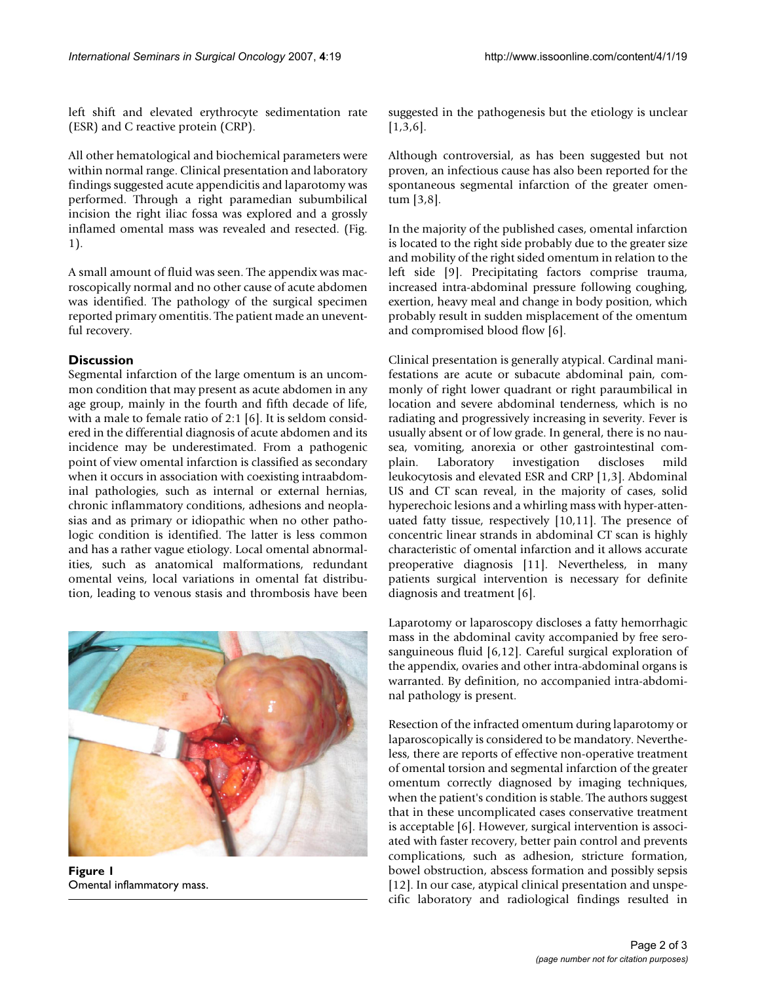left shift and elevated erythrocyte sedimentation rate

(ESR) and C reactive protein (CRP).

All other hematological and biochemical parameters were within normal range. Clinical presentation and laboratory findings suggested acute appendicitis and laparotomy was performed. Through a right paramedian subumbilical incision the right iliac fossa was explored and a grossly inflamed omental mass was revealed and resected. (Fig. 1).

A small amount of fluid was seen. The appendix was macroscopically normal and no other cause of acute abdomen was identified. The pathology of the surgical specimen reported primary omentitis. The patient made an uneventful recovery.

# **Discussion**

Segmental infarction of the large omentum is an uncommon condition that may present as acute abdomen in any age group, mainly in the fourth and fifth decade of life, with a male to female ratio of 2:1 [6]. It is seldom considered in the differential diagnosis of acute abdomen and its incidence may be underestimated. From a pathogenic point of view omental infarction is classified as secondary when it occurs in association with coexisting intraabdominal pathologies, such as internal or external hernias, chronic inflammatory conditions, adhesions and neoplasias and as primary or idiopathic when no other pathologic condition is identified. The latter is less common and has a rather vague etiology. Local omental abnormalities, such as anatomical malformations, redundant omental veins, local variations in omental fat distribution, leading to venous stasis and thrombosis have been



**Figure 1** Omental inflammatory mass.

suggested in the pathogenesis but the etiology is unclear [1,3,6].

Although controversial, as has been suggested but not proven, an infectious cause has also been reported for the spontaneous segmental infarction of the greater omentum [3,8].

In the majority of the published cases, omental infarction is located to the right side probably due to the greater size and mobility of the right sided omentum in relation to the left side [9]. Precipitating factors comprise trauma, increased intra-abdominal pressure following coughing, exertion, heavy meal and change in body position, which probably result in sudden misplacement of the omentum and compromised blood flow [6].

Clinical presentation is generally atypical. Cardinal manifestations are acute or subacute abdominal pain, commonly of right lower quadrant or right paraumbilical in location and severe abdominal tenderness, which is no radiating and progressively increasing in severity. Fever is usually absent or of low grade. In general, there is no nausea, vomiting, anorexia or other gastrointestinal complain. Laboratory investigation discloses mild leukocytosis and elevated ESR and CRP [1,3]. Abdominal US and CT scan reveal, in the majority of cases, solid hyperechoic lesions and a whirling mass with hyper-attenuated fatty tissue, respectively [10,11]. The presence of concentric linear strands in abdominal CT scan is highly characteristic of omental infarction and it allows accurate preoperative diagnosis [11]. Nevertheless, in many patients surgical intervention is necessary for definite diagnosis and treatment [6].

Laparotomy or laparoscopy discloses a fatty hemorrhagic mass in the abdominal cavity accompanied by free serosanguineous fluid [6,12]. Careful surgical exploration of the appendix, ovaries and other intra-abdominal organs is warranted. By definition, no accompanied intra-abdominal pathology is present.

Resection of the infracted omentum during laparotomy or laparoscopically is considered to be mandatory. Nevertheless, there are reports of effective non-operative treatment of omental torsion and segmental infarction of the greater omentum correctly diagnosed by imaging techniques, when the patient's condition is stable. The authors suggest that in these uncomplicated cases conservative treatment is acceptable [6]. However, surgical intervention is associated with faster recovery, better pain control and prevents complications, such as adhesion, stricture formation, bowel obstruction, abscess formation and possibly sepsis [12]. In our case, atypical clinical presentation and unspecific laboratory and radiological findings resulted in